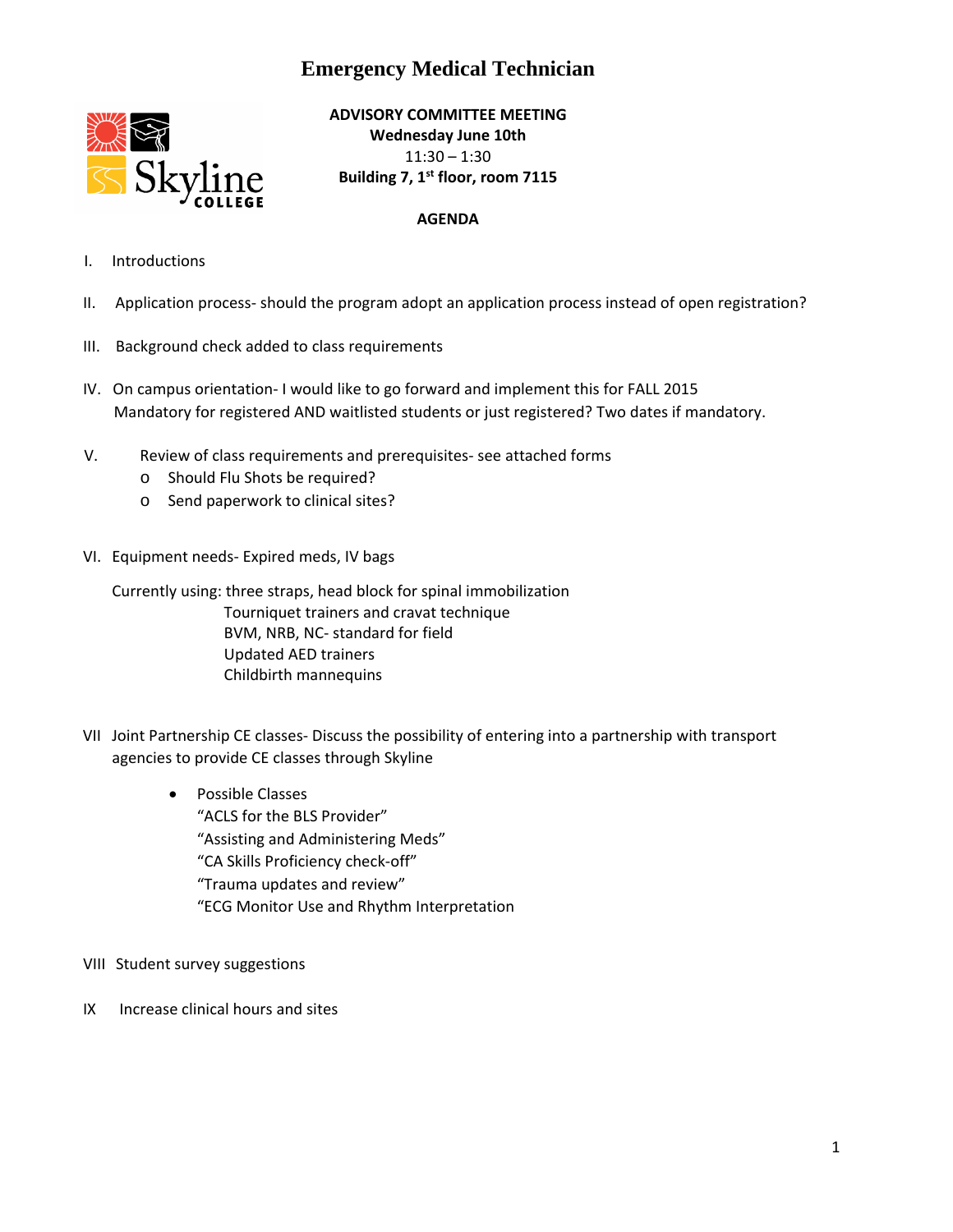## **Emergency Medical Technician**



**ADVISORY COMMITTEE MEETING Wednesday June 10th** 11:30 – 1:30 **Building 7, 1st floor, room 7115**

## **AGENDA**

- I. Introductions
- II. Application process‐ should the program adopt an application process instead of open registration?
- III. Background check added to class requirements
- IV. On campus orientation‐ I would like to go forward and implement this for FALL 2015 Mandatory for registered AND waitlisted students or just registered? Two dates if mandatory.
- V. Review of class requirements and prerequisites‐ see attached forms
	- o Should Flu Shots be required?
	- o Send paperwork to clinical sites?
- VI. Equipment needs‐ Expired meds, IV bags

Currently using: three straps, head block for spinal immobilization Tourniquet trainers and cravat technique BVM, NRB, NC‐ standard for field Updated AED trainers Childbirth mannequins

- VII Joint Partnership CE classes‐ Discuss the possibility of entering into a partnership with transport agencies to provide CE classes through Skyline
	- Possible Classes "ACLS for the BLS Provider" "Assisting and Administering Meds" "CA Skills Proficiency check‐off" "Trauma updates and review" "ECG Monitor Use and Rhythm Interpretation
- VIII Student survey suggestions
- IX Increase clinical hours and sites